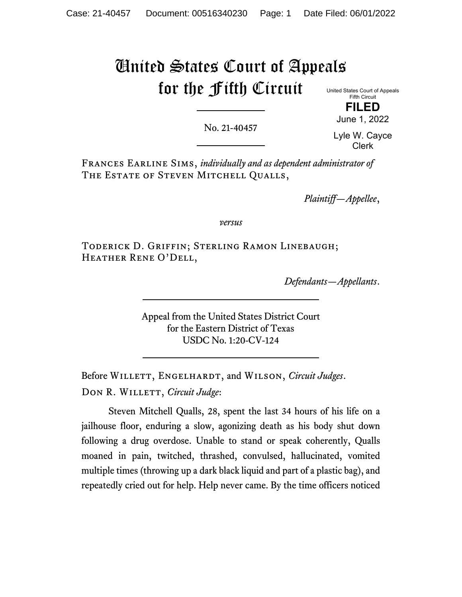# United States Court of Appeals for the Fifth Circuit

United States Court of Appeals Fifth Circuit **FILED**

No. 21-40457

Lyle W. Cayce Clerk

June 1, 2022

Frances Earline Sims, *individually and as dependent administrator of* The Estate of Steven Mitchell Qualls,

*Plaintiff—Appellee*,

*versus*

Toderick D. Griffin; Sterling Ramon Linebaugh; Heather Rene O'Dell,

*Defendants—Appellants*.

Appeal from the United States District Court for the Eastern District of Texas USDC No. 1:20-CV-124

Before Willett, Engelhardt, and Wilson, *Circuit Judges*. DON R. WILLETT, *Circuit Judge*:

Steven Mitchell Qualls, 28, spent the last 34 hours of his life on a jailhouse floor, enduring a slow, agonizing death as his body shut down following a drug overdose. Unable to stand or speak coherently, Qualls moaned in pain, twitched, thrashed, convulsed, hallucinated, vomited multiple times (throwing up a dark black liquid and part of a plastic bag), and repeatedly cried out for help. Help never came. By the time officers noticed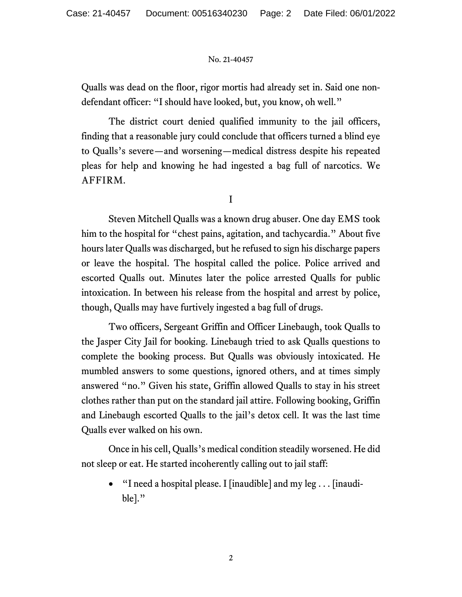Qualls was dead on the floor, rigor mortis had already set in. Said one nondefendant officer: "I should have looked, but, you know, oh well."

The district court denied qualified immunity to the jail officers, finding that a reasonable jury could conclude that officers turned a blind eye to Qualls's severe—and worsening—medical distress despite his repeated pleas for help and knowing he had ingested a bag full of narcotics. We AFFIRM.

I

Steven Mitchell Qualls was a known drug abuser. One day EMS took him to the hospital for "chest pains, agitation, and tachycardia." About five hours later Qualls was discharged, but he refused to sign his discharge papers or leave the hospital. The hospital called the police. Police arrived and escorted Qualls out. Minutes later the police arrested Qualls for public intoxication. In between his release from the hospital and arrest by police, though, Qualls may have furtively ingested a bag full of drugs.

Two officers, Sergeant Griffin and Officer Linebaugh, took Qualls to the Jasper City Jail for booking. Linebaugh tried to ask Qualls questions to complete the booking process. But Qualls was obviously intoxicated. He mumbled answers to some questions, ignored others, and at times simply answered "no." Given his state, Griffin allowed Qualls to stay in his street clothes rather than put on the standard jail attire. Following booking, Griffin and Linebaugh escorted Qualls to the jail's detox cell. It was the last time Qualls ever walked on his own.

Once in his cell, Qualls's medical condition steadily worsened. He did not sleep or eat. He started incoherently calling out to jail staff:

"I need a hospital please. I [inaudible] and my  $leg \dots$  [inaudible]."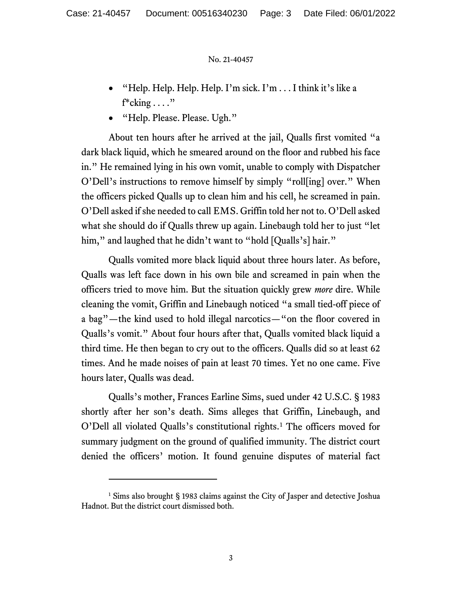- "Help. Help. Help. Help. I'm sick. I'm . . . I think it's like a  $f^*$ cking  $\dots$ ."
- "Help. Please. Please. Ugh."

About ten hours after he arrived at the jail, Qualls first vomited "a dark black liquid, which he smeared around on the floor and rubbed his face in." He remained lying in his own vomit, unable to comply with Dispatcher O'Dell's instructions to remove himself by simply "roll[ing] over." When the officers picked Qualls up to clean him and his cell, he screamed in pain. O'Dell asked if she needed to call EMS. Griffin told her not to. O'Dell asked what she should do if Qualls threw up again. Linebaugh told her to just "let him," and laughed that he didn't want to "hold [Qualls's] hair."

Qualls vomited more black liquid about three hours later. As before, Qualls was left face down in his own bile and screamed in pain when the officers tried to move him. But the situation quickly grew *more* dire. While cleaning the vomit, Griffin and Linebaugh noticed "a small tied-off piece of a bag"—the kind used to hold illegal narcotics—"on the floor covered in Qualls's vomit." About four hours after that, Qualls vomited black liquid a third time. He then began to cry out to the officers. Qualls did so at least 62 times. And he made noises of pain at least 70 times. Yet no one came. Five hours later, Qualls was dead.

Qualls's mother, Frances Earline Sims, sued under 42 U.S.C. § 1983 shortly after her son's death. Sims alleges that Griffin, Linebaugh, and O'Dell all violated Qualls's constitutional rights.[1](#page-2-0) The officers moved for summary judgment on the ground of qualified immunity. The district court denied the officers' motion. It found genuine disputes of material fact

<span id="page-2-0"></span><sup>&</sup>lt;sup>1</sup> Sims also brought § 1983 claims against the City of Jasper and detective Joshua Hadnot. But the district court dismissed both.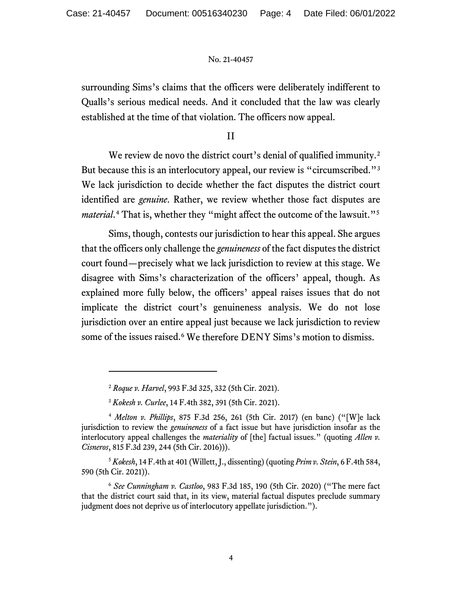surrounding Sims's claims that the officers were deliberately indifferent to Qualls's serious medical needs. And it concluded that the law was clearly established at the time of that violation. The officers now appeal.

II

We review de novo the district court's denial of qualified immunity.<sup>[2](#page-3-0)</sup> But because this is an interlocutory appeal, our review is "circumscribed."<sup>[3](#page-3-1)</sup> We lack jurisdiction to decide whether the fact disputes the district court identified are *genuine*. Rather, we review whether those fact disputes are *material*.<sup>[4](#page-3-2)</sup> That is, whether they "might affect the outcome of the lawsuit."<sup>[5](#page-3-3)</sup>

Sims, though, contests our jurisdiction to hear this appeal. She argues that the officers only challenge the *genuineness* of the fact disputes the district court found—precisely what we lack jurisdiction to review at this stage. We disagree with Sims's characterization of the officers' appeal, though. As explained more fully below, the officers' appeal raises issues that do not implicate the district court's genuineness analysis. We do not lose jurisdiction over an entire appeal just because we lack jurisdiction to review some of the issues raised. [6](#page-3-4) We therefore DENY Sims's motion to dismiss.

<sup>2</sup> *Roque v. Harvel*, 993 F.3d 325, 332 (5th Cir. 2021).

<sup>3</sup> *Kokesh v. Curlee*, 14 F.4th 382, 391 (5th Cir. 2021).

<span id="page-3-2"></span><span id="page-3-1"></span><span id="page-3-0"></span><sup>4</sup> *Melton v. Phillips*, 875 F.3d 256, 261 (5th Cir. 2017) (en banc) ("[W]e lack jurisdiction to review the *genuineness* of a fact issue but have jurisdiction insofar as the interlocutory appeal challenges the *materiality* of [the] factual issues." (quoting *Allen v. Cisneros*, 815 F.3d 239, 244 (5th Cir. 2016))).

<span id="page-3-3"></span><sup>5</sup> *Kokesh*, 14 F.4th at 401 (Willett, J., dissenting) (quoting *Prim v. Stein*, 6 F.4th 584, 590 (5th Cir. 2021)).

<span id="page-3-4"></span><sup>6</sup> *See Cunningham v. Castloo*, 983 F.3d 185, 190 (5th Cir. 2020) ("The mere fact that the district court said that, in its view, material factual disputes preclude summary judgment does not deprive us of interlocutory appellate jurisdiction.").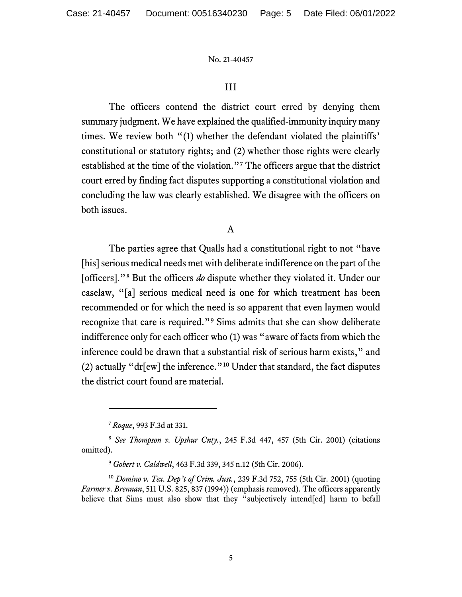# III

The officers contend the district court erred by denying them summary judgment. We have explained the qualified-immunity inquiry many times. We review both "(1) whether the defendant violated the plaintiffs' constitutional or statutory rights; and (2) whether those rights were clearly established at the time of the violation."[7](#page-4-0) The officers argue that the district court erred by finding fact disputes supporting a constitutional violation and concluding the law was clearly established. We disagree with the officers on both issues.

## A

The parties agree that Qualls had a constitutional right to not "have [his] serious medical needs met with deliberate indifference on the part of the [officers]."[8](#page-4-1) But the officers *do* dispute whether they violated it. Under our caselaw, "[a] serious medical need is one for which treatment has been recommended or for which the need is so apparent that even laymen would recognize that care is required."[9](#page-4-2) Sims admits that she can show deliberate indifference only for each officer who (1) was "aware of facts from which the inference could be drawn that a substantial risk of serious harm exists," and (2) actually "dr[ew] the inference."[10](#page-4-3) Under that standard, the fact disputes the district court found are material.

<sup>7</sup> *Roque*, 993 F.3d at 331.

<span id="page-4-1"></span><span id="page-4-0"></span><sup>8</sup> *See Thompson v. Upshur Cnty.*, 245 F.3d 447, 457 (5th Cir. 2001) (citations omitted).

<sup>9</sup> *Gobert v. Caldwell*, 463 F.3d 339, 345 n.12 (5th Cir. 2006).

<span id="page-4-3"></span><span id="page-4-2"></span><sup>10</sup> *Domino v. Tex. Dep't of Crim. Just.*, 239 F.3d 752, 755 (5th Cir. 2001) (quoting *Farmer v. Brennan*, 511 U.S. 825, 837 (1994)) (emphasis removed). The officers apparently believe that Sims must also show that they "subjectively intend[ed] harm to befall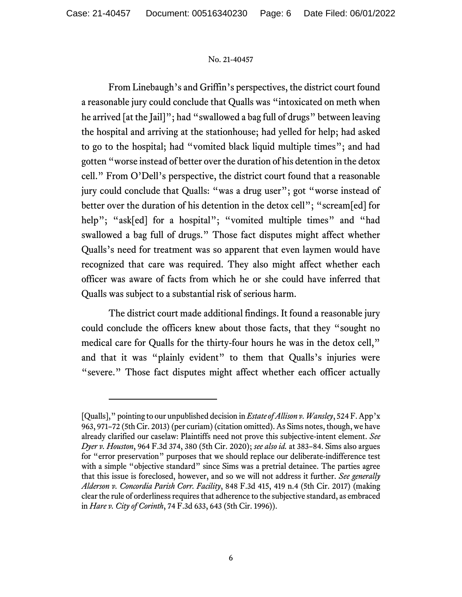From Linebaugh's and Griffin's perspectives, the district court found a reasonable jury could conclude that Qualls was "intoxicated on meth when he arrived [at the Jail]"; had "swallowed a bag full of drugs" between leaving the hospital and arriving at the stationhouse; had yelled for help; had asked to go to the hospital; had "vomited black liquid multiple times"; and had gotten "worse instead of better over the duration of his detention in the detox cell." From O'Dell's perspective, the district court found that a reasonable jury could conclude that Qualls: "was a drug user"; got "worse instead of better over the duration of his detention in the detox cell"; "scream[ed] for help"; "ask[ed] for a hospital"; "vomited multiple times" and "had swallowed a bag full of drugs." Those fact disputes might affect whether Qualls's need for treatment was so apparent that even laymen would have recognized that care was required. They also might affect whether each officer was aware of facts from which he or she could have inferred that Qualls was subject to a substantial risk of serious harm.

The district court made additional findings. It found a reasonable jury could conclude the officers knew about those facts, that they "sought no medical care for Qualls for the thirty-four hours he was in the detox cell," and that it was "plainly evident" to them that Qualls's injuries were "severe." Those fact disputes might affect whether each officer actually

<sup>[</sup>Qualls]," pointing to our unpublished decision in *Estateof Allison v. Wansley*, 524 F. App'x 963, 971–72 (5th Cir. 2013) (per curiam) (citation omitted). As Sims notes, though, we have already clarified our caselaw: Plaintiffs need not prove this subjective-intent element. *See Dyer v. Houston*, 964 F.3d 374, 380 (5th Cir. 2020); *see also id.* at 383–84. Sims also argues for "error preservation" purposes that we should replace our deliberate-indifference test with a simple "objective standard" since Sims was a pretrial detainee. The parties agree that this issue is foreclosed, however, and so we will not address it further. *See generally Alderson v. Concordia Parish Corr. Facility*, 848 F.3d 415, 419 n.4 (5th Cir. 2017) (making clear the rule of orderliness requires that adherence to the subjective standard, as embraced in *Hare v. City of Corinth*, 74 F.3d 633, 643 (5th Cir. 1996)).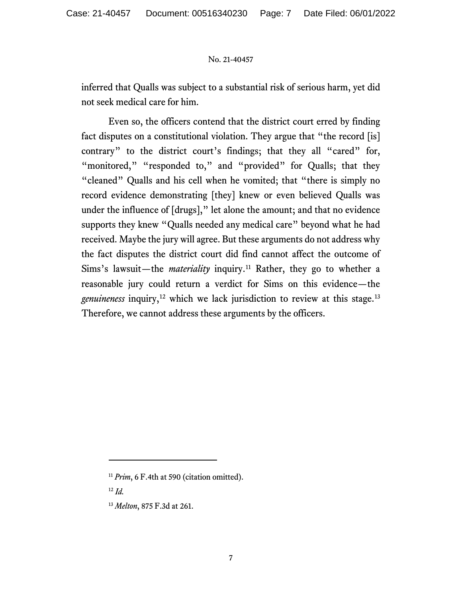inferred that Qualls was subject to a substantial risk of serious harm, yet did not seek medical care for him.

Even so, the officers contend that the district court erred by finding fact disputes on a constitutional violation. They argue that "the record [is] contrary" to the district court's findings; that they all "cared" for, "monitored," "responded to," and "provided" for Qualls; that they "cleaned" Qualls and his cell when he vomited; that "there is simply no record evidence demonstrating [they] knew or even believed Qualls was under the influence of [drugs]," let alone the amount; and that no evidence supports they knew "Qualls needed any medical care" beyond what he had received. Maybe the jury will agree. But these arguments do not address why the fact disputes the district court did find cannot affect the outcome of Sims's lawsuit—the *materiality* inquiry.<sup>[11](#page-6-0)</sup> Rather, they go to whether a reasonable jury could return a verdict for Sims on this evidence—the genuineness inquiry,<sup>[12](#page-6-1)</sup> which we lack jurisdiction to review at this stage.<sup>[13](#page-6-2)</sup> Therefore, we cannot address these arguments by the officers.

<span id="page-6-0"></span><sup>&</sup>lt;sup>11</sup> *Prim*, 6 F.4th at 590 (citation omitted).

<span id="page-6-1"></span><sup>12</sup> *Id.*

<span id="page-6-2"></span><sup>13</sup> *Melton*, 875 F.3d at 261.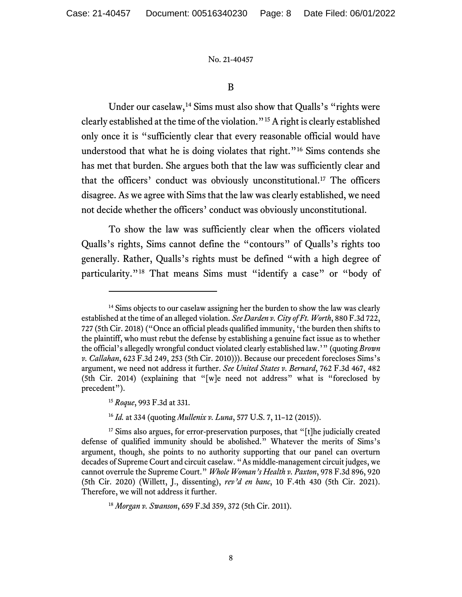B

Under our caselaw,<sup>[14](#page-7-0)</sup> Sims must also show that Qualls's "rights were clearly established at the time of the violation."[15](#page-7-1)A right is clearly established only once it is "sufficiently clear that every reasonable official would have understood that what he is doing violates that right."[16](#page-7-2) Sims contends she has met that burden. She argues both that the law was sufficiently clear and that the officers' conduct was obviously unconstitutional.[17](#page-7-3) The officers disagree. As we agree with Sims that the law was clearly established, we need not decide whether the officers' conduct was obviously unconstitutional.

To show the law was sufficiently clear when the officers violated Qualls's rights, Sims cannot define the "contours" of Qualls's rights too generally. Rather, Qualls's rights must be defined "with a high degree of particularity."<sup>[18](#page-7-4)</sup> That means Sims must "identify a case" or "body of

<span id="page-7-0"></span> $14$  Sims objects to our caselaw assigning her the burden to show the law was clearly established at the time of an alleged violation. *See Darden v. City of Ft. Worth*, 880 F.3d 722, 727 (5th Cir. 2018) ("Once an official pleads qualified immunity, 'the burden then shifts to the plaintiff, who must rebut the defense by establishing a genuine fact issue as to whether the official's allegedly wrongful conduct violated clearly established law.'" (quoting *Brown v. Callahan*, 623 F.3d 249, 253 (5th Cir. 2010))). Because our precedent forecloses Sims's argument, we need not address it further. *See United States v. Bernard*, 762 F.3d 467, 482 (5th Cir. 2014) (explaining that "[w]e need not address" what is "foreclosed by precedent").

<sup>15</sup> *Roque*, 993 F.3d at 331.

<sup>16</sup> *Id.* at 334 (quoting *Mullenix v. Luna*, 577 U.S. 7, 11–12 (2015)).

<span id="page-7-3"></span><span id="page-7-2"></span><span id="page-7-1"></span><sup>&</sup>lt;sup>17</sup> Sims also argues, for error-preservation purposes, that "[t]he judicially created defense of qualified immunity should be abolished." Whatever the merits of Sims's argument, though, she points to no authority supporting that our panel can overturn decades of Supreme Court and circuit caselaw. "As middle-management circuit judges, we cannot overrule the Supreme Court." *Whole Woman's Health v. Paxton*, 978 F.3d 896, 920 (5th Cir. 2020) (Willett, J., dissenting), *rev'd en banc*, 10 F.4th 430 (5th Cir. 2021). Therefore, we will not address it further.

<span id="page-7-4"></span><sup>18</sup> *Morgan v. Swanson*, 659 F.3d 359, 372 (5th Cir. 2011).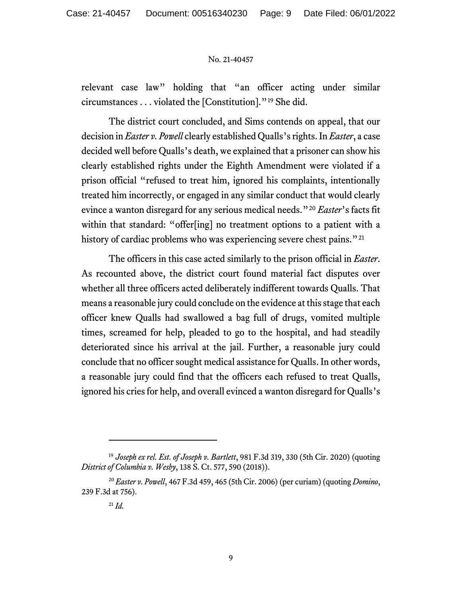relevant case law" holding that "an officer acting under similar circumstances . . . violated the [Constitution]."[19](#page-8-0) She did.

The district court concluded, and Sims contends on appeal, that our decision in *Easter v. Powell* clearly established Qualls's rights. In *Easter*, a case decided well before Qualls's death, we explained that a prisoner can show his clearly established rights under the Eighth Amendment were violated if a prison official "refused to treat him, ignored his complaints, intentionally treated him incorrectly, or engaged in any similar conduct that would clearly evince a wanton disregard for any serious medical needs."[20](#page-8-1) *Easter*'s facts fit within that standard: "offer[ing] no treatment options to a patient with a history of cardiac problems who was experiencing severe chest pains."<sup>[21](#page-8-2)</sup>

The officers in this case acted similarly to the prison official in *Easter*. As recounted above, the district court found material fact disputes over whether all three officers acted deliberately indifferent towards Qualls. That means a reasonable jury could conclude on the evidence at this stage that each officer knew Qualls had swallowed a bag full of drugs, vomited multiple times, screamed for help, pleaded to go to the hospital, and had steadily deteriorated since his arrival at the jail. Further, a reasonable jury could conclude that no officer sought medical assistance for Qualls. In other words, a reasonable jury could find that the officers each refused to treat Qualls, ignored his cries for help, and overall evinced a wanton disregard for Qualls's

<span id="page-8-0"></span><sup>19</sup> *Joseph ex rel. Est. of Joseph v. Bartlett*, 981 F.3d 319, 330 (5th Cir. 2020) (quoting *District of Columbia v. Wesby*, 138 S. Ct. 577, 590 (2018)).

<span id="page-8-2"></span><span id="page-8-1"></span><sup>20</sup> *Easter v. Powell*, 467 F.3d 459, 465 (5th Cir. 2006) (per curiam) (quoting *Domino*, 239 F.3d at 756).

<sup>21</sup> *Id.*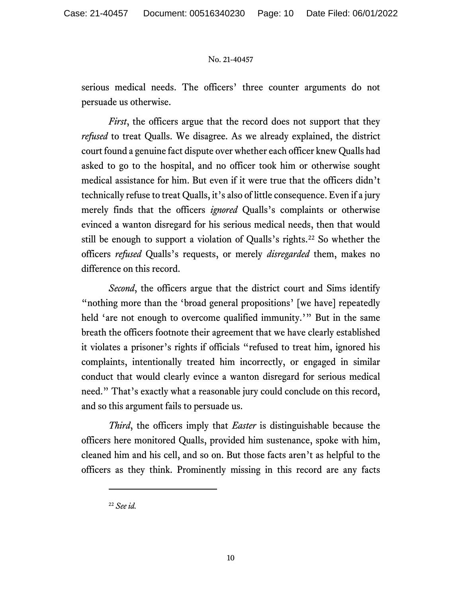serious medical needs. The officers' three counter arguments do not persuade us otherwise.

*First*, the officers argue that the record does not support that they *refused* to treat Qualls. We disagree. As we already explained, the district court found a genuine fact dispute over whether each officer knew Qualls had asked to go to the hospital, and no officer took him or otherwise sought medical assistance for him. But even if it were true that the officers didn't technically refuse to treat Qualls, it's also of little consequence. Even if a jury merely finds that the officers *ignored* Qualls's complaints or otherwise evinced a wanton disregard for his serious medical needs, then that would still be enough to support a violation of Qualls's rights.<sup>22</sup> So whether the officers *refused* Qualls's requests, or merely *disregarded* them, makes no difference on this record.

*Second*, the officers argue that the district court and Sims identify "nothing more than the 'broad general propositions' [we have] repeatedly held 'are not enough to overcome qualified immunity.'" But in the same breath the officers footnote their agreement that we have clearly established it violates a prisoner's rights if officials "refused to treat him, ignored his complaints, intentionally treated him incorrectly, or engaged in similar conduct that would clearly evince a wanton disregard for serious medical need." That's exactly what a reasonable jury could conclude on this record, and so this argument fails to persuade us.

*Third*, the officers imply that *Easter* is distinguishable because the officers here monitored Qualls, provided him sustenance, spoke with him, cleaned him and his cell, and so on. But those facts aren't as helpful to the officers as they think. Prominently missing in this record are any facts

<span id="page-9-0"></span><sup>22</sup> *See id.*